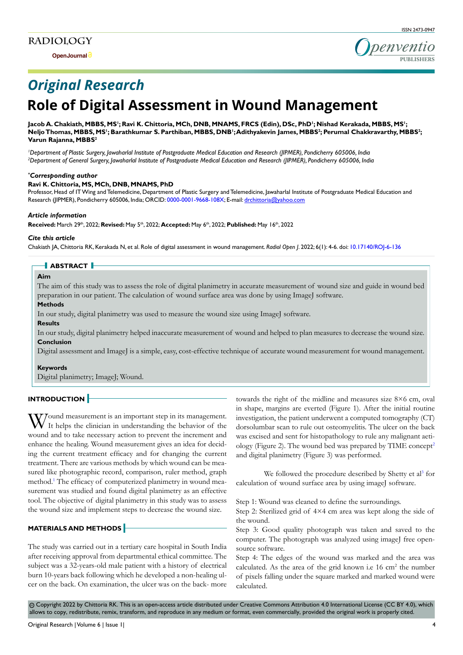

# *Original Research*

## **Role of Digital Assessment in Wound Management**

## Jacob A. Chakiath, MBBS, MS<sup>I</sup>; Ravi K. Chittoria, MCh, DNB, MNAMS, FRCS (Edin), DSc, PhD<sup>I</sup>; Nishad Kerakada, MBBS, MS<sup>I</sup>; **Neljo Thomas, MBBS, MS1 ; Barathkumar S. Parthiban, MBBS, DNB1 ; Adithyakevin James, MBBS2 ; Perumal Chakkravarthy, MBBS2 ; Varun Rajanna, MBBS2**

*1 Department of Plastic Surgery, Jawaharlal Institute of Postgraduate Medical Education and Research (JIPMER), Pondicherry 605006, India 2 Department of General Surgery, Jawaharlal Institute of Postgraduate Medical Education and Research (JIPMER), Pondicherry 605006, India*

## *\* Corresponding author*

## **Ravi K. Chittoria, MS, MCh, DNB, MNAMS, PhD**

Professor, Head of IT Wing and Telemedicine, Department of Plastic Surgery and Telemedicine, Jawaharlal Institute of Postgraduate Medical Education and Research (JIPMER), Pondicherry 605006, India; ORCID: [0000-0001-9668-108X](http://0000-0001-9668-108X); E-mail: drchittoria@yahoo.com

#### *Article information*

**Received:** March 29th, 2022; **Revised:** May 5th, 2022; **Accepted:** May 6th, 2022; **Published:** May 16th, 2022

#### *Cite this article*

Chakiath JA, Chittoria RK, Kerakada N, et al. Role of digital assessment in wound management. *Radiol Open J*. 2022; 6(1): 4-6. doi: [10.17140/ROJ-6-136](http://dx.doi.org/10.17140/ROJ-6-136)

#### **ABSTRACT**

## **Aim**

The aim of this study was to assess the role of digital planimetry in accurate measurement of wound size and guide in wound bed preparation in our patient. The calculation of wound surface area was done by using ImageJ software.

## **Methods**

In our study, digital planimetry was used to measure the wound size using ImageJ software.

#### **Results**

In our study, digital planimetry helped inaccurate measurement of wound and helped to plan measures to decrease the wound size. **Conclusion**

Digital assessment and ImageJ is a simple, easy, cost-effective technique of accurate wound measurement for wound management.

#### **Keywords**

Digital planimetry; ImageJ; Wound.

## **INTRODUCTION**

Yound measurement is an important step in its management. It helps the clinician in understanding the behavior of the wound and to take necessary action to prevent the increment and enhance the healing. Wound measurement gives an idea for deciding the current treatment efficacy and for changing the current treatment. There are various methods by which wound can be measured like photographic record, comparison, ruler method, graph method[.1](#page-2-0) The efficacy of computerized planimetry in wound measurement was studied and found digital planimetry as an effective tool. The objective of digital planimetry in this study was to assess the wound size and implement steps to decrease the wound size.

#### **MATERIALS AND METHODS**

The study was carried out in a tertiary care hospital in South India after receiving approval from departmental ethical committee. The subject was a 32-years-old male patient with a history of electrical burn 10-years back following which he developed a non-healing ulcer on the back. On examination, the ulcer was on the back- more towards the right of the midline and measures size 8×6 cm, oval in shape, margins are everted (Figure 1). After the initial routine investigation, the patient underwent a computed tomography (CT) dorsolumbar scan to rule out osteomyelitis. The ulcer on the back was excised and sent for histopathology to rule any malignant aeti-ology (Figure [2](#page-2-1)). The wound bed was prepared by TIME concept<sup>2</sup> and digital planimetry (Figure 3) was performed.

We followed the procedure described by Shetty et al<sup>3</sup> for calculation of wound surface area by using imageJ software.

Step 1: Wound was cleaned to define the surroundings.

Step 2: Sterilized grid of 4×4 cm area was kept along the side of the wound.

Step 3: Good quality photograph was taken and saved to the computer. The photograph was analyzed using imageJ free opensource software.

Step 4: The edges of the wound was marked and the area was calculated. As the area of the grid known i.e  $16 \text{ cm}^2$  the number of pixels falling under the square marked and marked wound were calculated.

 Copyright 2022 by Chittoria RK. This is an open-access article distributed under Creative Commons Attribution 4.0 International License ([CC BY 4.0\)](https://creativecommons.org/licenses/by/4.0/), which cc allows to copy, redistribute, remix, transform, and reproduce in any medium or format, even commercially, provided the original work is properly cited.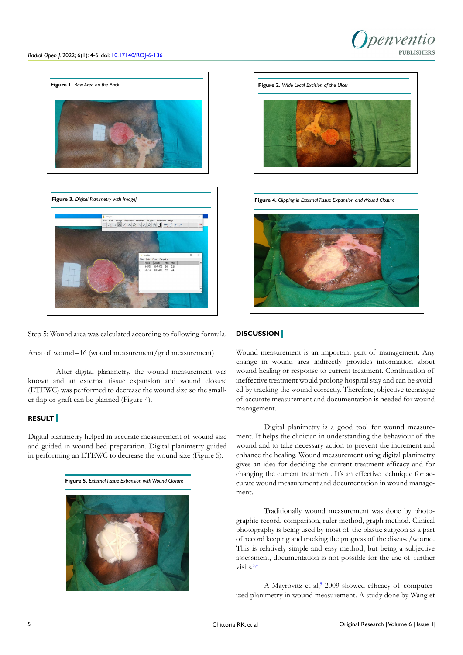





Step 5: Wound area was calculated according to following formula.

Area of wound=16 (wound measurement/grid measurement)

After digital planimetry, the wound measurement was known and an external tissue expansion and wound closure (ETEWC) was performed to decrease the wound size so the smaller flap or graft can be planned (Figure 4).

## **RESULT**

Digital planimetry helped in accurate measurement of wound size and guided in wound bed preparation. Digital planimetry guided in performing an ETEWC to decrease the wound size (Figure 5).







## **DISCUSSION**

Wound measurement is an important part of management. Any change in wound area indirectly provides information about wound healing or response to current treatment. Continuation of ineffective treatment would prolong hospital stay and can be avoided by tracking the wound correctly. Therefore, objective technique of accurate measurement and documentation is needed for wound management.

Digital planimetry is a good tool for wound measurement. It helps the clinician in understanding the behaviour of the wound and to take necessary action to prevent the increment and enhance the healing. Wound measurement using digital planimetry gives an idea for deciding the current treatment efficacy and for changing the current treatment. It's an effective technique for accurate wound measurement and documentation in wound management.

Traditionally wound measurement was done by photographic record, comparison, ruler method, graph method. Clinical photography is being used by most of the plastic surgeon as a part of record keeping and tracking the progress of the disease/wound. This is relatively simple and easy method, but being a subjective assessment, documentation is not possible for the use of further visits.<sup>[3,4](#page-2-2)</sup>

A Mayrovitz et al,<sup>5</sup> 2009 showed efficacy of computerized planimetry in wound measurement. A study done by Wang et